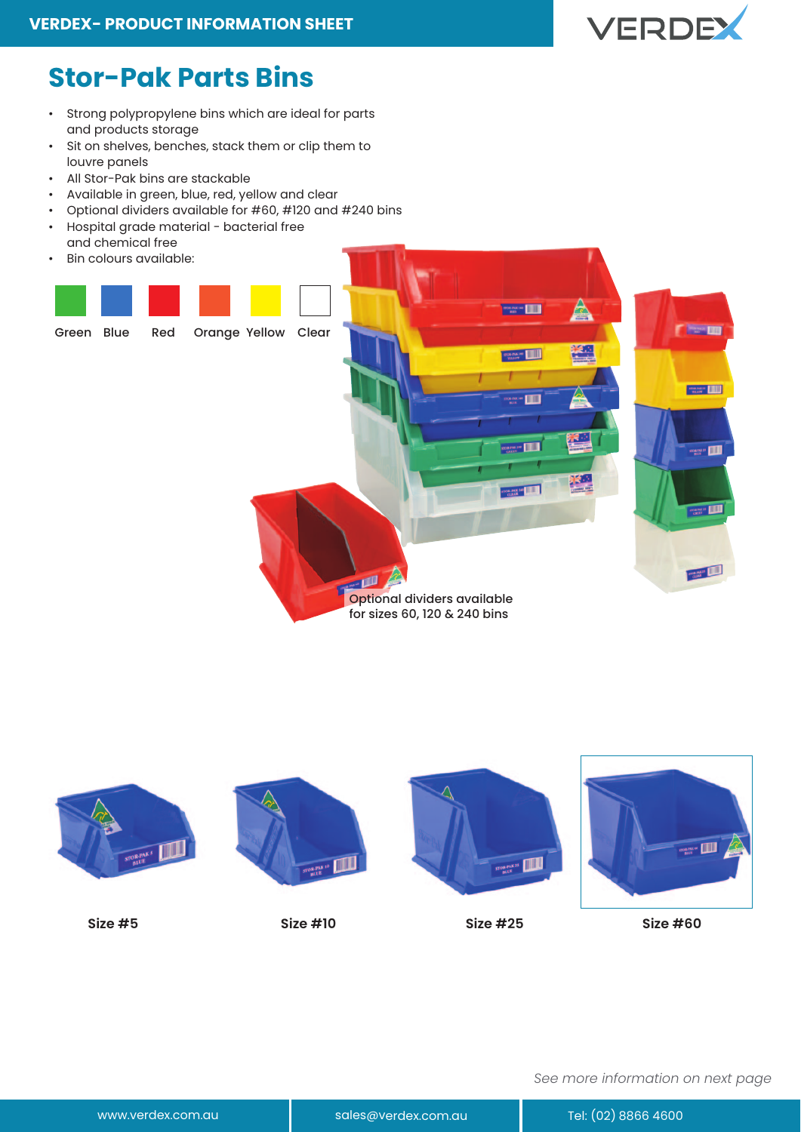

## **Stor-Pak Parts Bins**

- Strong polypropylene bins which are ideal for parts and products storage
- Sit on shelves, benches, stack them or clip them to louvre panels
- All Stor-Pak bins are stackable
- Available in green, blue, red, yellow and clear
- Optional dividers available for #60, #120 and #240 bins
- Hospital grade material bacterial free
- and chemical free • Bin colours available:
- 





*See more information on next page*